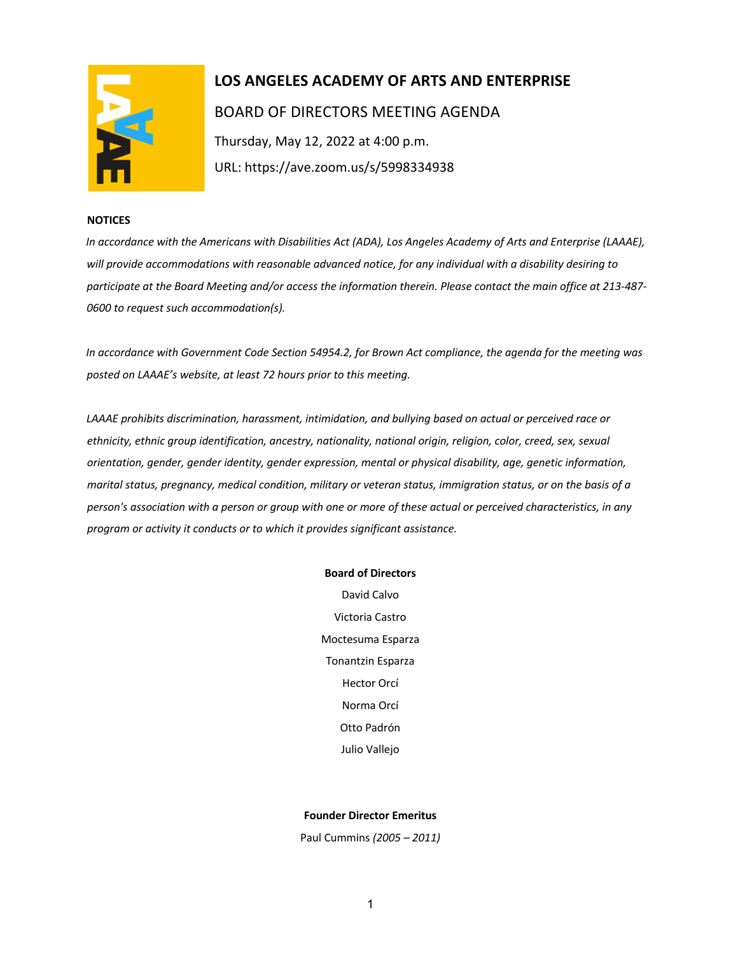

# **LOS ANGELES ACADEMY OF ARTS AND ENTERPRISE**  BOARD OF DIRECTORS MEETING AGENDA Thursday, May 12, 2022 at 4:00 p.m. URL: https://ave.zoom.us/s/5998334938

#### **NOTICES**

*In accordance with the Americans with Disabilities Act (ADA), Los Angeles Academy of Arts and Enterprise (LAAAE), will provide accommodations with reasonable advanced notice, for any individual with a disability desiring to participate at the Board Meeting and/or access the information therein. Please contact the main office at 213-487- 0600 to request such accommodation(s).* 

*In accordance with Government Code Section 54954.2, for Brown Act compliance, the agenda for the meeting was posted on LAAAE's website, at least 72 hours prior to this meeting.* 

*LAAAE prohibits discrimination, harassment, intimidation, and bullying based on actual or perceived race or ethnicity, ethnic group identification, ancestry, nationality, national origin, religion, color, creed, sex, sexual orientation, gender, gender identity, gender expression, mental or physical disability, age, genetic information, marital status, pregnancy, medical condition, military or veteran status, immigration status, or on the basis of a person's association with a person or group with one or more of these actual or perceived characteristics, in any program or activity it conducts or to which it provides significant assistance.* 

### **Board of Directors**

David Calvo Victoria Castro Moctesuma Esparza Tonantzin Esparza Hector Orcí Norma Orcí Otto Padrón Julio Vallejo

#### **Founder Director Emeritus**

Paul Cummins *(2005 – 2011)*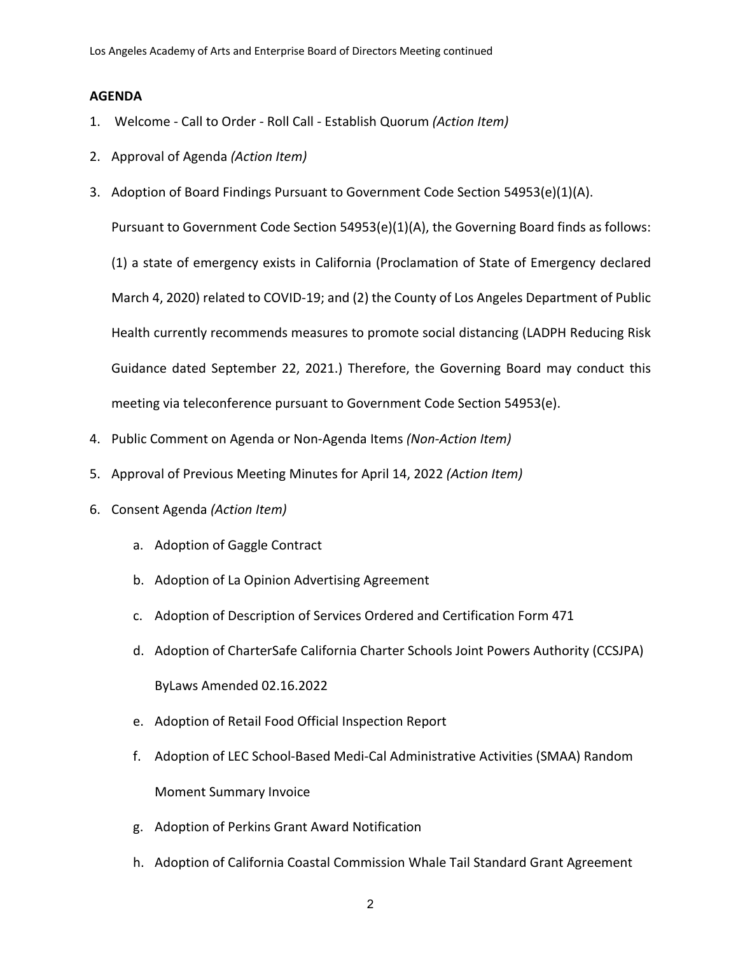## **AGENDA**

- 1. Welcome Call to Order Roll Call Establish Quorum *(Action Item)*
- 2. Approval of Agenda *(Action Item)*
- 3. Adoption of Board Findings Pursuant to Government Code Section 54953(e)(1)(A).

Pursuant to Government Code Section 54953(e)(1)(A), the Governing Board finds as follows:

(1) a state of emergency exists in California (Proclamation of State of Emergency declared March 4, 2020) related to COVID-19; and (2) the County of Los Angeles Department of Public Health currently recommends measures to promote social distancing (LADPH Reducing Risk Guidance dated September 22, 2021.) Therefore, the Governing Board may conduct this meeting via teleconference pursuant to Government Code Section 54953(e).

- 4. Public Comment on Agenda or Non-Agenda Items *(Non-Action Item)*
- 5. Approval of Previous Meeting Minutes for April 14, 2022 *(Action Item)*
- 6. Consent Agenda *(Action Item)*
	- a. Adoption of Gaggle Contract
	- b. Adoption of La Opinion Advertising Agreement
	- c. Adoption of Description of Services Ordered and Certification Form 471
	- d. Adoption of CharterSafe California Charter Schools Joint Powers Authority (CCSJPA) ByLaws Amended 02.16.2022
	- e. Adoption of Retail Food Official Inspection Report
	- f. Adoption of LEC School-Based Medi-Cal Administrative Activities (SMAA) Random Moment Summary Invoice
	- g. Adoption of Perkins Grant Award Notification
	- h. Adoption of California Coastal Commission Whale Tail Standard Grant Agreement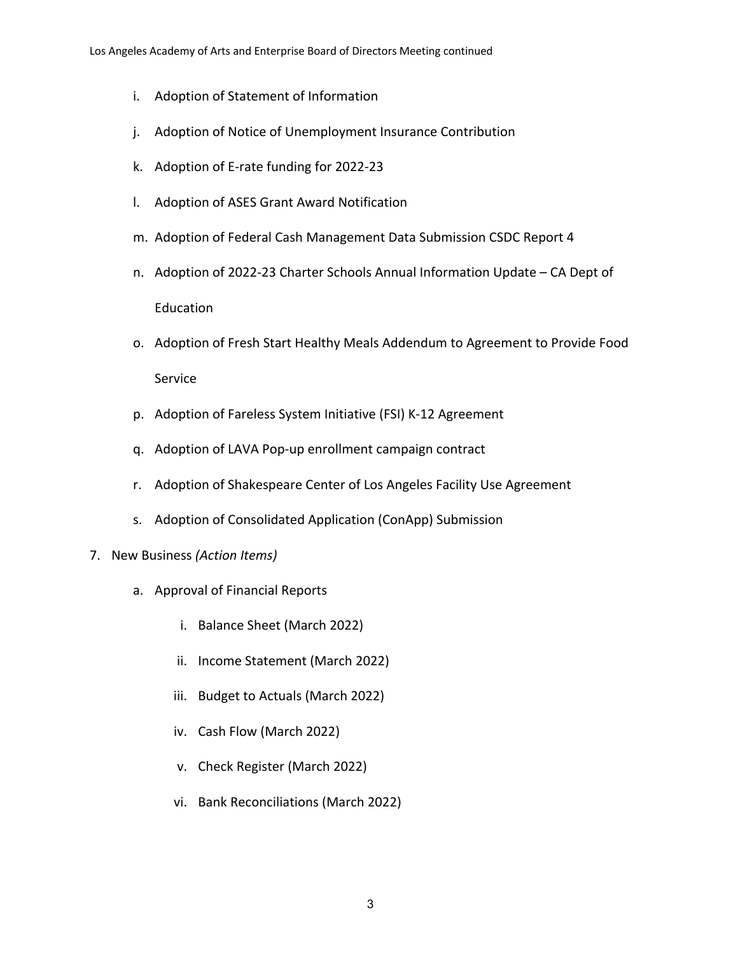- i. Adoption of Statement of Information
- j. Adoption of Notice of Unemployment Insurance Contribution
- k. Adoption of E-rate funding for 2022-23
- l. Adoption of ASES Grant Award Notification
- m. Adoption of Federal Cash Management Data Submission CSDC Report 4
- n. Adoption of 2022-23 Charter Schools Annual Information Update CA Dept of Education
- o. Adoption of Fresh Start Healthy Meals Addendum to Agreement to Provide Food Service
- p. Adoption of Fareless System Initiative (FSI) K-12 Agreement
- q. Adoption of LAVA Pop-up enrollment campaign contract
- r. Adoption of Shakespeare Center of Los Angeles Facility Use Agreement
- s. Adoption of Consolidated Application (ConApp) Submission
- 7. New Business *(Action Items)*
	- a. Approval of Financial Reports
		- i. Balance Sheet (March 2022)
		- ii. Income Statement (March 2022)
		- iii. Budget to Actuals (March 2022)
		- iv. Cash Flow (March 2022)
		- v. Check Register (March 2022)
		- vi. Bank Reconciliations (March 2022)